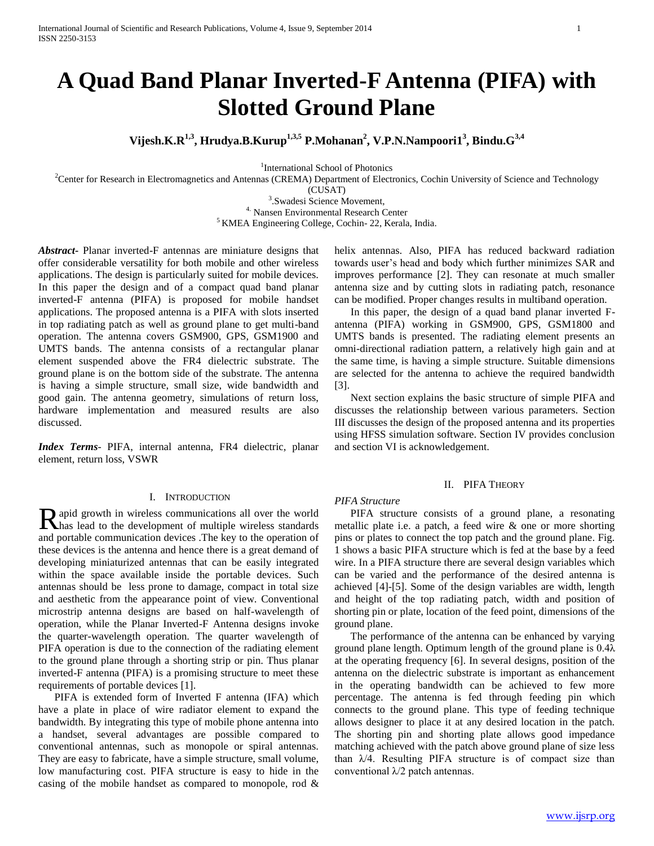# **A Quad Band Planar Inverted-F Antenna (PIFA) with Slotted Ground Plane**

**Vijesh.K.R1,3, Hrudya.B.Kurup1,3,5 P.Mohanan<sup>2</sup> , V.P.N.Nampoori1<sup>3</sup> , Bindu.G3,4**

<sup>1</sup>International School of Photonics

<sup>2</sup>Center for Research in Electromagnetics and Antennas (CREMA) Department of Electronics, Cochin University of Science and Technology

(CUSAT)

3 .Swadesi Science Movement, 4. Nansen Environmental Research Center

<sup>5</sup> KMEA Engineering College, Cochin- 22, Kerala, India.

*Abstract***-** Planar inverted-F antennas are miniature designs that offer considerable versatility for both mobile and other wireless applications. The design is particularly suited for mobile devices. In this paper the design and of a compact quad band planar inverted-F antenna (PIFA) is proposed for mobile handset applications. The proposed antenna is a PIFA with slots inserted in top radiating patch as well as ground plane to get multi-band operation. The antenna covers GSM900, GPS, GSM1900 and UMTS bands. The antenna consists of a rectangular planar element suspended above the FR4 dielectric substrate. The ground plane is on the bottom side of the substrate. The antenna is having a simple structure, small size, wide bandwidth and good gain. The antenna geometry, simulations of return loss, hardware implementation and measured results are also discussed.

*Index Terms*- PIFA, internal antenna, FR4 dielectric, planar element, return loss, VSWR

## I. INTRODUCTION

apid growth in wireless communications all over the world Rapid growth in wireless communications all over the world<br>has lead to the development of multiple wireless standards and portable communication devices .The key to the operation of these devices is the antenna and hence there is a great demand of developing miniaturized antennas that can be easily integrated within the space available inside the portable devices. Such antennas should be less prone to damage, compact in total size and aesthetic from the appearance point of view. Conventional microstrip antenna designs are based on half-wavelength of operation, while the Planar Inverted-F Antenna designs invoke the quarter-wavelength operation. The quarter wavelength of PIFA operation is due to the connection of the radiating element to the ground plane through a shorting strip or pin. Thus planar inverted-F antenna (PIFA) is a promising structure to meet these requirements of portable devices [1].

 PIFA is extended form of Inverted F antenna (IFA) which have a plate in place of wire radiator element to expand the bandwidth. By integrating this type of mobile phone antenna into a handset, several advantages are possible compared to conventional antennas, such as monopole or spiral antennas. They are easy to fabricate, have a simple structure, small volume, low manufacturing cost. PIFA structure is easy to hide in the casing of the mobile handset as compared to monopole, rod &

helix antennas. Also, PIFA has reduced backward radiation towards user's head and body which further minimizes SAR and improves performance [2]. They can resonate at much smaller antenna size and by cutting slots in radiating patch, resonance can be modified. Proper changes results in multiband operation.

 In this paper, the design of a quad band planar inverted Fantenna (PIFA) working in GSM900, GPS, GSM1800 and UMTS bands is presented. The radiating element presents an omni-directional radiation pattern, a relatively high gain and at the same time, is having a simple structure. Suitable dimensions are selected for the antenna to achieve the required bandwidth [3].

 Next section explains the basic structure of simple PIFA and discusses the relationship between various parameters. Section III discusses the design of the proposed antenna and its properties using HFSS simulation software. Section IV provides conclusion and section VI is acknowledgement.

#### II. PIFA THEORY

### *PIFA Structure*

 PIFA structure consists of a ground plane, a resonating metallic plate i.e. a patch, a feed wire & one or more shorting pins or plates to connect the top patch and the ground plane. Fig. 1 shows a basic PIFA structure which is fed at the base by a feed wire. In a PIFA structure there are several design variables which can be varied and the performance of the desired antenna is achieved [4]-[5]. Some of the design variables are width, length and height of the top radiating patch, width and position of shorting pin or plate, location of the feed point, dimensions of the ground plane.

 The performance of the antenna can be enhanced by varying ground plane length. Optimum length of the ground plane is 0.4λ at the operating frequency [6]. In several designs, position of the antenna on the dielectric substrate is important as enhancement in the operating bandwidth can be achieved to few more percentage. The antenna is fed through feeding pin which connects to the ground plane. This type of feeding technique allows designer to place it at any desired location in the patch. The shorting pin and shorting plate allows good impedance matching achieved with the patch above ground plane of size less than  $\lambda/4$ . Resulting PIFA structure is of compact size than conventional λ/2 patch antennas.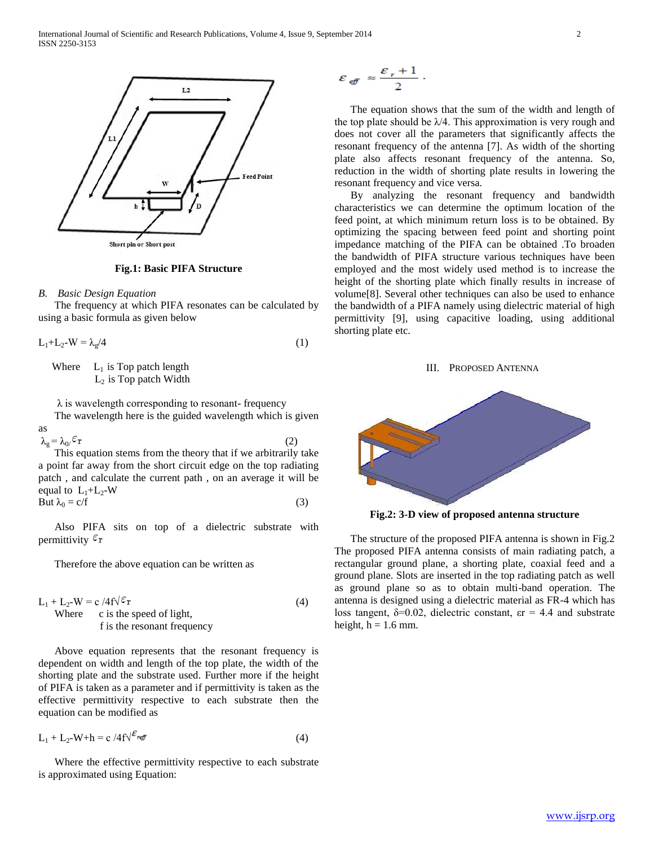

#### **Fig.1: Basic PIFA Structure**

#### *B. Basic Design Equation*

 The frequency at which PIFA resonates can be calculated by using a basic formula as given below

 $L_1 + L_2 - W = \lambda_g/4$  (1)

Where  $L_1$  is Top patch length  $L_2$  is Top patch Width

 $\lambda$  is wavelength corresponding to resonant- frequency The wavelength here is the guided wavelength which is given as

 $\lambda_g = \lambda_0 / \epsilon_r$  (2) This equation stems from the theory that if we arbitrarily take a point far away from the short circuit edge on the top radiating patch , and calculate the current path , on an average it will be equal to  $L_1+L_2-W$ But  $\lambda_0 = c/f$  (3)

 Also PIFA sits on top of a dielectric substrate with permittivity  $\varepsilon_{\rm r}$ 

Therefore the above equation can be written as

$$
L_1 + L_2-W = c /4f\sqrt{\epsilon_T}
$$
  
Where c is the speed of light,  
f is the resonant frequency (4)

 Above equation represents that the resonant frequency is dependent on width and length of the top plate, the width of the shorting plate and the substrate used. Further more if the height of PIFA is taken as a parameter and if permittivity is taken as the effective permittivity respective to each substrate then the equation can be modified as

$$
L_1 + L_2-W + h = c \cdot 4f \sqrt{\varepsilon_{\text{ref}}}
$$
 (4)

 Where the effective permittivity respective to each substrate is approximated using Equation:

$$
\varepsilon_{\text{eff}} \approx \frac{\varepsilon_r + 1}{2} \, .
$$

 The equation shows that the sum of the width and length of the top plate should be  $\lambda/4$ . This approximation is very rough and does not cover all the parameters that significantly affects the resonant frequency of the antenna [7]. As width of the shorting plate also affects resonant frequency of the antenna. So, reduction in the width of shorting plate results in lowering the resonant frequency and vice versa.

 By analyzing the resonant frequency and bandwidth characteristics we can determine the optimum location of the feed point, at which minimum return loss is to be obtained. By optimizing the spacing between feed point and shorting point impedance matching of the PIFA can be obtained .To broaden the bandwidth of PIFA structure various techniques have been employed and the most widely used method is to increase the height of the shorting plate which finally results in increase of volume[8]. Several other techniques can also be used to enhance the bandwidth of a PIFA namely using dielectric material of high permittivity [9], using capacitive loading, using additional shorting plate etc.

#### III. PROPOSED ANTENNA



**Fig.2: 3-D view of proposed antenna structure**

 The structure of the proposed PIFA antenna is shown in Fig.2 The proposed PIFA antenna consists of main radiating patch, a rectangular ground plane, a shorting plate, coaxial feed and a ground plane. Slots are inserted in the top radiating patch as well as ground plane so as to obtain multi-band operation. The antenna is designed using a dielectric material as FR-4 which has loss tangent,  $\delta = 0.02$ , dielectric constant,  $\epsilon = 4.4$  and substrate height,  $h = 1.6$  mm.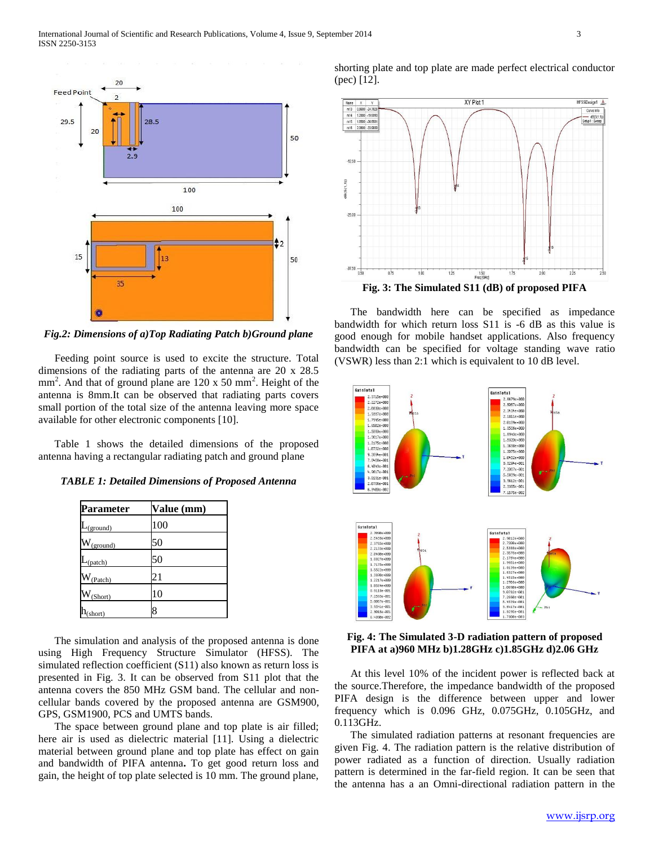

*Fig.2: Dimensions of a)Top Radiating Patch b)Ground plane*

 Feeding point source is used to excite the structure. Total dimensions of the radiating parts of the antenna are 20 x 28.5 mm<sup>2</sup>. And that of ground plane are 120 x 50 mm<sup>2</sup>. Height of the antenna is 8mm.It can be observed that radiating parts covers small portion of the total size of the antenna leaving more space available for other electronic components [10].

 Table 1 shows the detailed dimensions of the proposed antenna having a rectangular radiating patch and ground plane

*TABLE 1: Detailed Dimensions of Proposed Antenna*

| Parameter        | Value (mm)      |
|------------------|-----------------|
| (ground)         | 100             |
| (ground)         | 50              |
| $\gamma$ (patch) | 50              |
| (Patch)          | $\overline{21}$ |
| (Short)          | 10              |
| short)           | 8               |

 The simulation and analysis of the proposed antenna is done using High Frequency Structure Simulator (HFSS). The simulated reflection coefficient (S11) also known as return loss is presented in Fig. 3. It can be observed from S11 plot that the antenna covers the 850 MHz GSM band. The cellular and noncellular bands covered by the proposed antenna are GSM900, GPS, GSM1900, PCS and UMTS bands.

 The space between ground plane and top plate is air filled; here air is used as dielectric material [11]. Using a dielectric material between ground plane and top plate has effect on gain and bandwidth of PIFA antenna**.** To get good return loss and gain, the height of top plate selected is 10 mm. The ground plane,

shorting plate and top plate are made perfect electrical conductor (pec) [12].



 The bandwidth here can be specified as impedance bandwidth for which return loss S11 is -6 dB as this value is good enough for mobile handset applications. Also frequency bandwidth can be specified for voltage standing wave ratio (VSWR) less than 2:1 which is equivalent to 10 dB level.



**Fig. 4: The Simulated 3-D radiation pattern of proposed PIFA at a)960 MHz b)1.28GHz c)1.85GHz d)2.06 GHz**

 At this level 10% of the incident power is reflected back at the source.Therefore, the impedance bandwidth of the proposed PIFA design is the difference between upper and lower frequency which is 0.096 GHz, 0.075GHz, 0.105GHz, and 0.113GHz.

 The simulated radiation patterns at resonant frequencies are given Fig. 4. The radiation pattern is the relative distribution of power radiated as a function of direction. Usually radiation pattern is determined in the far-field region. It can be seen that the antenna has a an Omni-directional radiation pattern in the